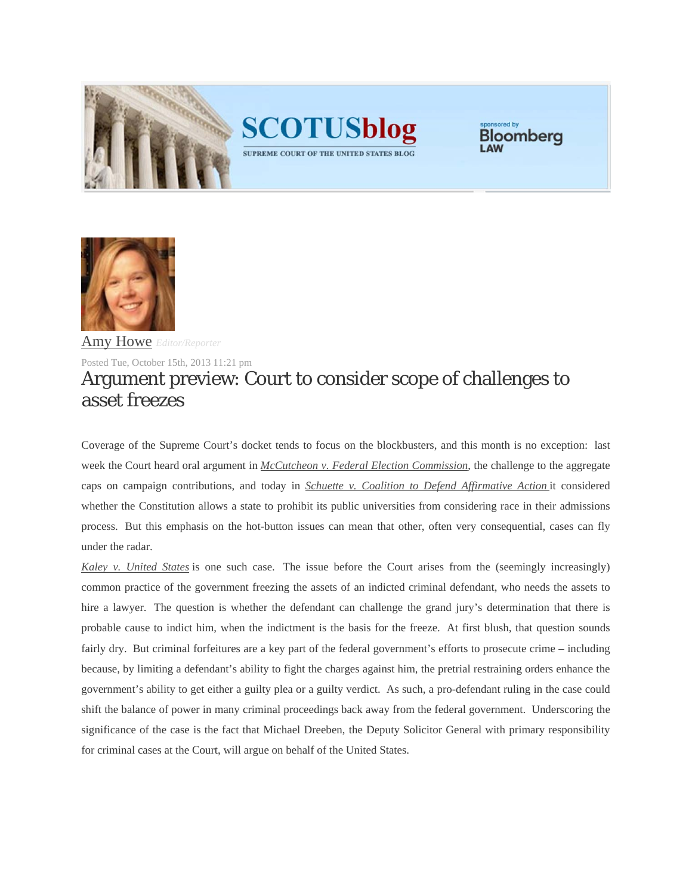



Bloomberg

SUPREME COURT OF THE UNITED STATES BLOG



Amy Howe *Editor/Reporter*

Posted Tue, October 15th, 2013 11:21 pm

## Argument preview: Court to consider scope of challenges to asset freezes

Coverage of the Supreme Court's docket tends to focus on the blockbusters, and this month is no exception: last week the Court heard oral argument in *McCutcheon v. Federal Election Commission*, the challenge to the aggregate caps on campaign contributions, and today in *Schuette v. Coalition to Defend Affirmative Action* it considered whether the Constitution allows a state to prohibit its public universities from considering race in their admissions process. But this emphasis on the hot-button issues can mean that other, often very consequential, cases can fly under the radar.

*Kaley v. United States* is one such case. The issue before the Court arises from the (seemingly increasingly) common practice of the government freezing the assets of an indicted criminal defendant, who needs the assets to hire a lawyer. The question is whether the defendant can challenge the grand jury's determination that there is probable cause to indict him, when the indictment is the basis for the freeze. At first blush, that question sounds fairly dry. But criminal forfeitures are a key part of the federal government's efforts to prosecute crime – including because, by limiting a defendant's ability to fight the charges against him, the pretrial restraining orders enhance the government's ability to get either a guilty plea or a guilty verdict. As such, a pro-defendant ruling in the case could shift the balance of power in many criminal proceedings back away from the federal government. Underscoring the significance of the case is the fact that Michael Dreeben, the Deputy Solicitor General with primary responsibility for criminal cases at the Court, will argue on behalf of the United States.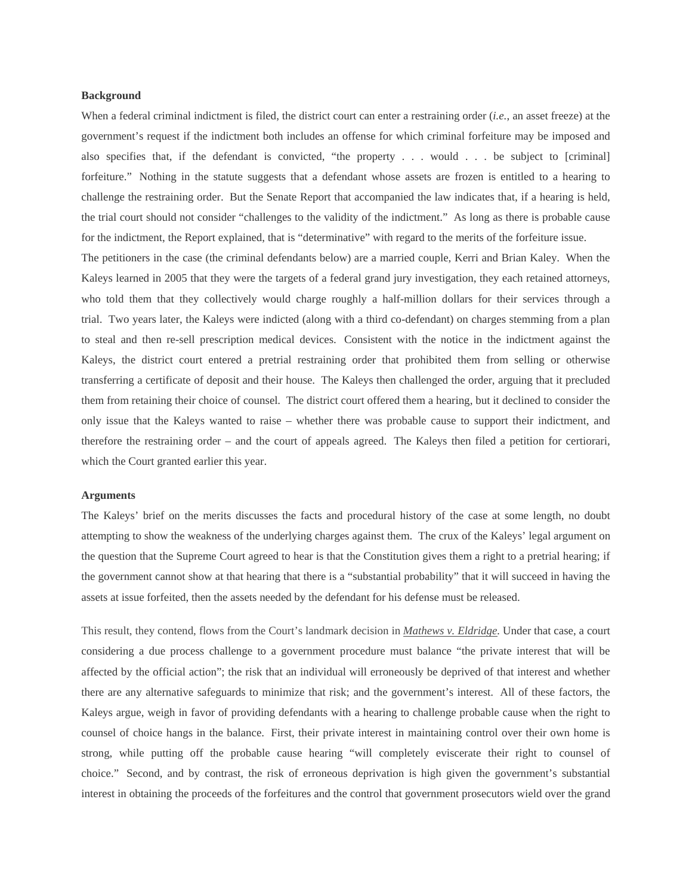## **Background**

When a federal criminal indictment is filed, the district court can enter a restraining order (*i.e.*, an asset freeze) at the government's request if the indictment both includes an offense for which criminal forfeiture may be imposed and also specifies that, if the defendant is convicted, "the property . . . would . . . be subject to [criminal] forfeiture." Nothing in the statute suggests that a defendant whose assets are frozen is entitled to a hearing to challenge the restraining order. But the Senate Report that accompanied the law indicates that, if a hearing is held, the trial court should not consider "challenges to the validity of the indictment." As long as there is probable cause for the indictment, the Report explained, that is "determinative" with regard to the merits of the forfeiture issue.

The petitioners in the case (the criminal defendants below) are a married couple, Kerri and Brian Kaley. When the Kaleys learned in 2005 that they were the targets of a federal grand jury investigation, they each retained attorneys, who told them that they collectively would charge roughly a half-million dollars for their services through a trial. Two years later, the Kaleys were indicted (along with a third co-defendant) on charges stemming from a plan to steal and then re-sell prescription medical devices. Consistent with the notice in the indictment against the Kaleys, the district court entered a pretrial restraining order that prohibited them from selling or otherwise transferring a certificate of deposit and their house. The Kaleys then challenged the order, arguing that it precluded them from retaining their choice of counsel. The district court offered them a hearing, but it declined to consider the only issue that the Kaleys wanted to raise – whether there was probable cause to support their indictment, and therefore the restraining order – and the court of appeals agreed. The Kaleys then filed a petition for certiorari, which the Court granted earlier this year.

## **Arguments**

The Kaleys' brief on the merits discusses the facts and procedural history of the case at some length, no doubt attempting to show the weakness of the underlying charges against them. The crux of the Kaleys' legal argument on the question that the Supreme Court agreed to hear is that the Constitution gives them a right to a pretrial hearing; if the government cannot show at that hearing that there is a "substantial probability" that it will succeed in having the assets at issue forfeited, then the assets needed by the defendant for his defense must be released.

This result, they contend, flows from the Court's landmark decision in *Mathews v. Eldridge.* Under that case, a court considering a due process challenge to a government procedure must balance "the private interest that will be affected by the official action"; the risk that an individual will erroneously be deprived of that interest and whether there are any alternative safeguards to minimize that risk; and the government's interest. All of these factors, the Kaleys argue, weigh in favor of providing defendants with a hearing to challenge probable cause when the right to counsel of choice hangs in the balance. First, their private interest in maintaining control over their own home is strong, while putting off the probable cause hearing "will completely eviscerate their right to counsel of choice." Second, and by contrast, the risk of erroneous deprivation is high given the government's substantial interest in obtaining the proceeds of the forfeitures and the control that government prosecutors wield over the grand